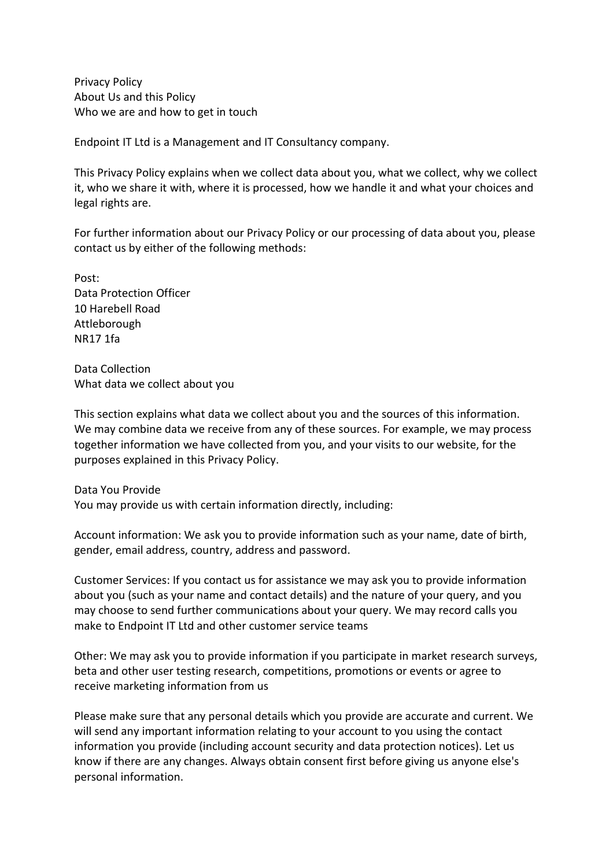Privacy Policy About Us and this Policy Who we are and how to get in touch

Endpoint IT Ltd is a Management and IT Consultancy company.

This Privacy Policy explains when we collect data about you, what we collect, why we collect it, who we share it with, where it is processed, how we handle it and what your choices and legal rights are.

For further information about our Privacy Policy or our processing of data about you, please contact us by either of the following methods:

Post: Data Protection Officer 10 Harebell Road Attleborough NR17 1fa

Data Collection What data we collect about you

This section explains what data we collect about you and the sources of this information. We may combine data we receive from any of these sources. For example, we may process together information we have collected from you, and your visits to our website, for the purposes explained in this Privacy Policy.

Data You Provide You may provide us with certain information directly, including:

Account information: We ask you to provide information such as your name, date of birth, gender, email address, country, address and password.

Customer Services: If you contact us for assistance we may ask you to provide information about you (such as your name and contact details) and the nature of your query, and you may choose to send further communications about your query. We may record calls you make to Endpoint IT Ltd and other customer service teams

Other: We may ask you to provide information if you participate in market research surveys, beta and other user testing research, competitions, promotions or events or agree to receive marketing information from us

Please make sure that any personal details which you provide are accurate and current. We will send any important information relating to your account to you using the contact information you provide (including account security and data protection notices). Let us know if there are any changes. Always obtain consent first before giving us anyone else's personal information.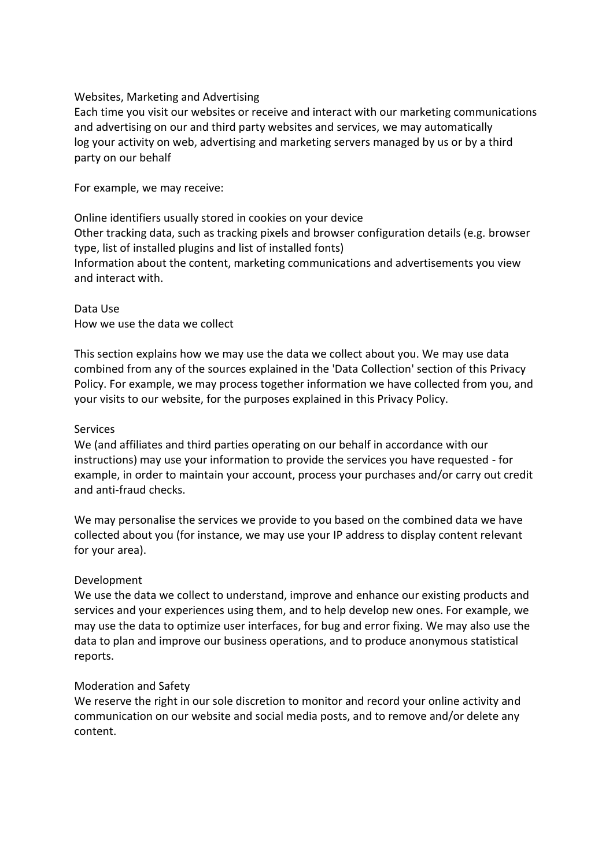## Websites, Marketing and Advertising

Each time you visit our websites or receive and interact with our marketing communications and advertising on our and third party websites and services, we may automatically log your activity on web, advertising and marketing servers managed by us or by a third party on our behalf

For example, we may receive:

Online identifiers usually stored in cookies on your device Other tracking data, such as tracking pixels and browser configuration details (e.g. browser type, list of installed plugins and list of installed fonts) Information about the content, marketing communications and advertisements you view and interact with.

Data Use How we use the data we collect

This section explains how we may use the data we collect about you. We may use data combined from any of the sources explained in the 'Data Collection' section of this Privacy Policy. For example, we may process together information we have collected from you, and your visits to our website, for the purposes explained in this Privacy Policy.

## Services

We (and affiliates and third parties operating on our behalf in accordance with our instructions) may use your information to provide the services you have requested - for example, in order to maintain your account, process your purchases and/or carry out credit and anti-fraud checks.

We may personalise the services we provide to you based on the combined data we have collected about you (for instance, we may use your IP address to display content relevant for your area).

# Development

We use the data we collect to understand, improve and enhance our existing products and services and your experiences using them, and to help develop new ones. For example, we may use the data to optimize user interfaces, for bug and error fixing. We may also use the data to plan and improve our business operations, and to produce anonymous statistical reports.

# Moderation and Safety

We reserve the right in our sole discretion to monitor and record your online activity and communication on our website and social media posts, and to remove and/or delete any content.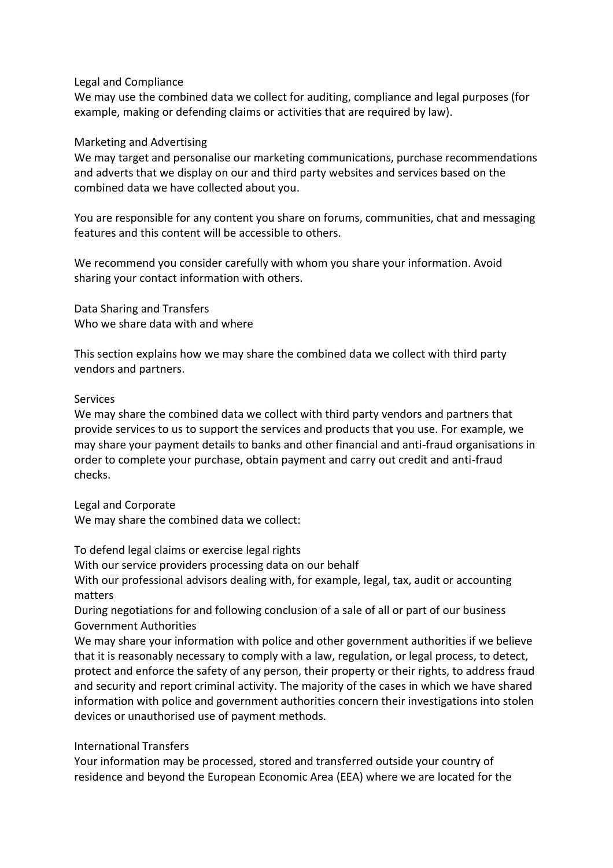## Legal and Compliance

We may use the combined data we collect for auditing, compliance and legal purposes (for example, making or defending claims or activities that are required by law).

#### Marketing and Advertising

We may target and personalise our marketing communications, purchase recommendations and adverts that we display on our and third party websites and services based on the combined data we have collected about you.

You are responsible for any content you share on forums, communities, chat and messaging features and this content will be accessible to others.

We recommend you consider carefully with whom you share your information. Avoid sharing your contact information with others.

Data Sharing and Transfers Who we share data with and where

This section explains how we may share the combined data we collect with third party vendors and partners.

#### **Services**

We may share the combined data we collect with third party vendors and partners that provide services to us to support the services and products that you use. For example, we may share your payment details to banks and other financial and anti-fraud organisations in order to complete your purchase, obtain payment and carry out credit and anti-fraud checks.

Legal and Corporate

We may share the combined data we collect:

To defend legal claims or exercise legal rights

With our service providers processing data on our behalf

With our professional advisors dealing with, for example, legal, tax, audit or accounting matters

During negotiations for and following conclusion of a sale of all or part of our business Government Authorities

We may share your information with police and other government authorities if we believe that it is reasonably necessary to comply with a law, regulation, or legal process, to detect, protect and enforce the safety of any person, their property or their rights, to address fraud and security and report criminal activity. The majority of the cases in which we have shared information with police and government authorities concern their investigations into stolen devices or unauthorised use of payment methods.

## International Transfers

Your information may be processed, stored and transferred outside your country of residence and beyond the European Economic Area (EEA) where we are located for the